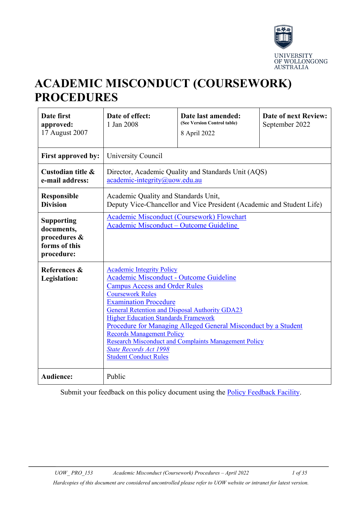

# **ACADEMIC MISCONDUCT (COURSEWORK) PROCEDURES**

| Date first<br>approved:<br>17 August 2007                                      | Date of effect:<br>1 Jan 2008                                                                                                                                                                                                                                                                                                                                                                                                                                                                                                | Date last amended:<br>(See Version Control table)<br>8 April 2022 | <b>Date of next Review:</b><br>September 2022 |  |
|--------------------------------------------------------------------------------|------------------------------------------------------------------------------------------------------------------------------------------------------------------------------------------------------------------------------------------------------------------------------------------------------------------------------------------------------------------------------------------------------------------------------------------------------------------------------------------------------------------------------|-------------------------------------------------------------------|-----------------------------------------------|--|
| First approved by:                                                             | University Council                                                                                                                                                                                                                                                                                                                                                                                                                                                                                                           |                                                                   |                                               |  |
| Custodian title &<br>e-mail address:                                           | Director, Academic Quality and Standards Unit (AQS)<br>academic-integrity@uow.edu.au                                                                                                                                                                                                                                                                                                                                                                                                                                         |                                                                   |                                               |  |
| Responsible<br><b>Division</b>                                                 | Academic Quality and Standards Unit,<br>Deputy Vice-Chancellor and Vice President (Academic and Student Life)                                                                                                                                                                                                                                                                                                                                                                                                                |                                                                   |                                               |  |
| <b>Supporting</b><br>documents,<br>procedures &<br>forms of this<br>procedure: | <b>Academic Misconduct (Coursework) Flowchart</b><br>Academic Misconduct - Outcome Guideline                                                                                                                                                                                                                                                                                                                                                                                                                                 |                                                                   |                                               |  |
| References &<br>Legislation:                                                   | <b>Academic Integrity Policy</b><br>Academic Misconduct - Outcome Guideline<br><b>Campus Access and Order Rules</b><br><b>Coursework Rules</b><br><b>Examination Procedure</b><br><b>General Retention and Disposal Authority GDA23</b><br><b>Higher Education Standards Framework</b><br>Procedure for Managing Alleged General Misconduct by a Student<br><b>Records Management Policy</b><br><b>Research Misconduct and Complaints Management Policy</b><br><b>State Records Act 1998</b><br><b>Student Conduct Rules</b> |                                                                   |                                               |  |
| <b>Audience:</b>                                                               | Public                                                                                                                                                                                                                                                                                                                                                                                                                                                                                                                       |                                                                   |                                               |  |

Submit your feedback on this policy document using the [Policy Feedback Facility.](http://www.uow.edu.au/about/policy/feedback/index.html)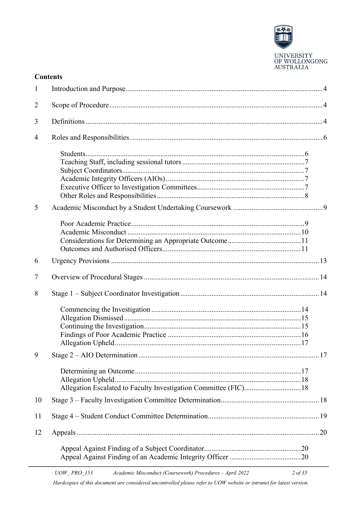

UNIVERSITY<br>OF WOLLONGONG<br>AUSTRALIA

 $2$  of 35

#### **Contents**

| $\mathbf{1}$   |                                                                  |  |
|----------------|------------------------------------------------------------------|--|
| $\overline{2}$ |                                                                  |  |
| 3              |                                                                  |  |
| 4              |                                                                  |  |
|                |                                                                  |  |
| 5              |                                                                  |  |
|                |                                                                  |  |
| 6              |                                                                  |  |
| 7              |                                                                  |  |
| 8              |                                                                  |  |
|                |                                                                  |  |
|                |                                                                  |  |
|                | Allegation Escalated to Faculty Investigation Committee (FIC) 18 |  |
| 10             |                                                                  |  |
| 11             |                                                                  |  |
| 12             |                                                                  |  |
|                |                                                                  |  |

Hardcopies of this document are considered uncontrolled please refer to UOW website or intranet for latest version.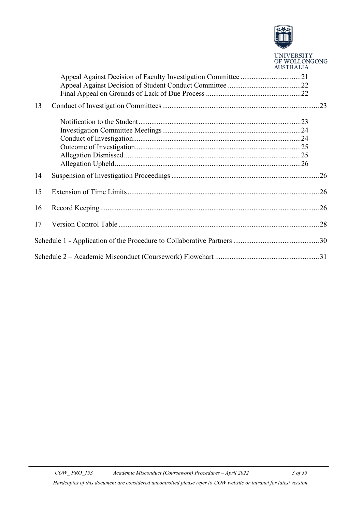

|    | <b>UNIVERSITY</b><br>OF WOLLONGONG<br><b>AUSTRALIA</b> |
|----|--------------------------------------------------------|
|    |                                                        |
|    |                                                        |
|    |                                                        |
| 13 |                                                        |
|    |                                                        |
|    |                                                        |
|    |                                                        |
|    |                                                        |
|    |                                                        |
|    |                                                        |
| 14 |                                                        |
| 15 |                                                        |
| 16 |                                                        |
| 17 |                                                        |
|    |                                                        |
|    |                                                        |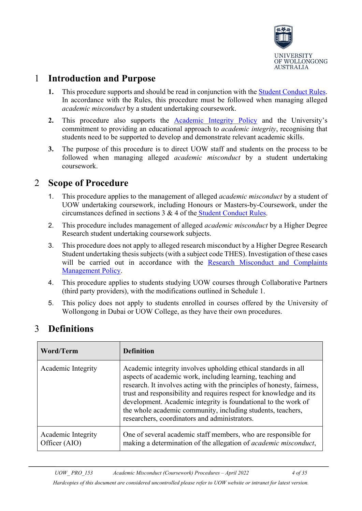

### <span id="page-3-0"></span>1 **Introduction and Purpose**

- **1.** This procedure supports and should be read in conjunction with the [Student Conduct Rules.](http://www.uow.edu.au/about/policy/UOW058723.html) In accordance with the Rules, this procedure must be followed when managing alleged *academic misconduct* by a student undertaking coursework.
- **2.** This procedure also supports the [Academic Integrity Policy](http://www.uow.edu.au/about/policy/UOW226505.html) and the University's commitment to providing an educational approach to *academic integrity*, recognising that students need to be supported to develop and demonstrate relevant academic skills.
- **3.** The purpose of this procedure is to direct UOW staff and students on the process to be followed when managing alleged *academic misconduct* by a student undertaking coursework.

### <span id="page-3-1"></span>2 **Scope of Procedure**

- 1. This procedure applies to the management of alleged *academic misconduct* by a student of UOW undertaking coursework, including Honours or Masters-by-Coursework, under the circumstances defined in sections 3 & 4 of the [Student Conduct Rules.](http://www.uow.edu.au/about/policy/UOW058723.html)
- 2. This procedure includes management of alleged *academic misconduct* by a Higher Degree Research student undertaking coursework subjects.
- 3. This procedure does not apply to alleged research misconduct by a Higher Degree Research Student undertaking thesis subjects (with a subject code THES). Investigation of these cases will be carried out in accordance with the Research Misconduct and Complaints [Management Policy.](http://www.uow.edu.au/about/policy/UOW058715.html#_blank)
- 4. This procedure applies to students studying UOW courses through Collaborative Partners (third party providers), with the modifications outlined in Schedule 1.
- 5. This policy does not apply to students enrolled in courses offered by the University of Wollongong in Dubai or UOW College, as they have their own procedures.

| Word/Term                           | <b>Definition</b>                                                                                                                                                                                                                                                                                                                                                                                                                                               |
|-------------------------------------|-----------------------------------------------------------------------------------------------------------------------------------------------------------------------------------------------------------------------------------------------------------------------------------------------------------------------------------------------------------------------------------------------------------------------------------------------------------------|
| Academic Integrity                  | Academic integrity involves upholding ethical standards in all<br>aspects of academic work, including learning, teaching and<br>research. It involves acting with the principles of honesty, fairness,<br>trust and responsibility and requires respect for knowledge and its<br>development. Academic integrity is foundational to the work of<br>the whole academic community, including students, teachers,<br>researchers, coordinators and administrators. |
| Academic Integrity<br>Officer (AIO) | One of several academic staff members, who are responsible for<br>making a determination of the allegation of <i>academic misconduct</i> ,                                                                                                                                                                                                                                                                                                                      |

## <span id="page-3-2"></span>3 **Definitions**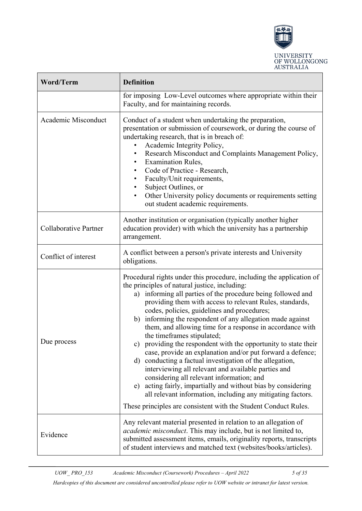

| <b>Word/Term</b>             | <b>Definition</b>                                                                                                                                                                                                                                                                                                                                                                                                                                                                                                                                                                                                                                                                                                                                                                                                                                                                                                                                                |  |  |
|------------------------------|------------------------------------------------------------------------------------------------------------------------------------------------------------------------------------------------------------------------------------------------------------------------------------------------------------------------------------------------------------------------------------------------------------------------------------------------------------------------------------------------------------------------------------------------------------------------------------------------------------------------------------------------------------------------------------------------------------------------------------------------------------------------------------------------------------------------------------------------------------------------------------------------------------------------------------------------------------------|--|--|
|                              | for imposing Low-Level outcomes where appropriate within their<br>Faculty, and for maintaining records.                                                                                                                                                                                                                                                                                                                                                                                                                                                                                                                                                                                                                                                                                                                                                                                                                                                          |  |  |
| Academic Misconduct          | Conduct of a student when undertaking the preparation,<br>presentation or submission of coursework, or during the course of<br>undertaking research, that is in breach of:<br>Academic Integrity Policy,<br>Research Misconduct and Complaints Management Policy,<br><b>Examination Rules,</b><br>٠<br>Code of Practice - Research,<br>Faculty/Unit requirements,<br>Subject Outlines, or<br>Other University policy documents or requirements setting<br>out student academic requirements.                                                                                                                                                                                                                                                                                                                                                                                                                                                                     |  |  |
| <b>Collaborative Partner</b> | Another institution or organisation (typically another higher<br>education provider) with which the university has a partnership<br>arrangement.                                                                                                                                                                                                                                                                                                                                                                                                                                                                                                                                                                                                                                                                                                                                                                                                                 |  |  |
| Conflict of interest         | A conflict between a person's private interests and University<br>obligations.                                                                                                                                                                                                                                                                                                                                                                                                                                                                                                                                                                                                                                                                                                                                                                                                                                                                                   |  |  |
| Due process                  | Procedural rights under this procedure, including the application of<br>the principles of natural justice, including:<br>informing all parties of the procedure being followed and<br>a)<br>providing them with access to relevant Rules, standards,<br>codes, policies, guidelines and procedures;<br>b) informing the respondent of any allegation made against<br>them, and allowing time for a response in accordance with<br>the timeframes stipulated;<br>c) providing the respondent with the opportunity to state their<br>case, provide an explanation and/or put forward a defence;<br>d) conducting a factual investigation of the allegation,<br>interviewing all relevant and available parties and<br>considering all relevant information; and<br>e) acting fairly, impartially and without bias by considering<br>all relevant information, including any mitigating factors.<br>These principles are consistent with the Student Conduct Rules. |  |  |
| Evidence                     | Any relevant material presented in relation to an allegation of<br>academic misconduct. This may include, but is not limited to,<br>submitted assessment items, emails, originality reports, transcripts<br>of student interviews and matched text (websites/books/articles).                                                                                                                                                                                                                                                                                                                                                                                                                                                                                                                                                                                                                                                                                    |  |  |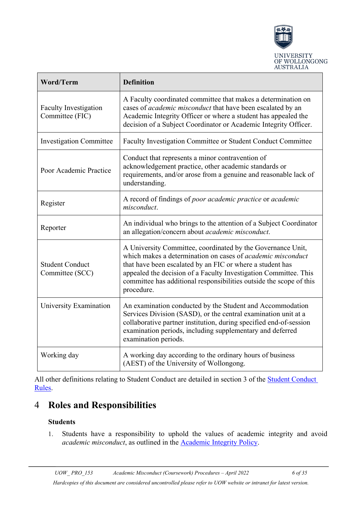

| <b>Word/Term</b>                                | <b>Definition</b>                                                                                                                                                                                                                                                                                                                                       |  |
|-------------------------------------------------|---------------------------------------------------------------------------------------------------------------------------------------------------------------------------------------------------------------------------------------------------------------------------------------------------------------------------------------------------------|--|
| <b>Faculty Investigation</b><br>Committee (FIC) | A Faculty coordinated committee that makes a determination on<br>cases of academic misconduct that have been escalated by an<br>Academic Integrity Officer or where a student has appealed the<br>decision of a Subject Coordinator or Academic Integrity Officer.                                                                                      |  |
| <b>Investigation Committee</b>                  | Faculty Investigation Committee or Student Conduct Committee                                                                                                                                                                                                                                                                                            |  |
| Poor Academic Practice                          | Conduct that represents a minor contravention of<br>acknowledgement practice, other academic standards or<br>requirements, and/or arose from a genuine and reasonable lack of<br>understanding.                                                                                                                                                         |  |
| Register                                        | A record of findings of poor academic practice or academic<br>misconduct.                                                                                                                                                                                                                                                                               |  |
| Reporter                                        | An individual who brings to the attention of a Subject Coordinator<br>an allegation/concern about academic misconduct.                                                                                                                                                                                                                                  |  |
| <b>Student Conduct</b><br>Committee (SCC)       | A University Committee, coordinated by the Governance Unit,<br>which makes a determination on cases of <i>academic misconduct</i><br>that have been escalated by an FIC or where a student has<br>appealed the decision of a Faculty Investigation Committee. This<br>committee has additional responsibilities outside the scope of this<br>procedure. |  |
| University Examination                          | An examination conducted by the Student and Accommodation<br>Services Division (SASD), or the central examination unit at a<br>collaborative partner institution, during specified end-of-session<br>examination periods, including supplementary and deferred<br>examination periods.                                                                  |  |
| Working day                                     | A working day according to the ordinary hours of business<br>(AEST) of the University of Wollongong.                                                                                                                                                                                                                                                    |  |

All other definitions relating to [Student Conduct](http://www.uow.edu.au/about/policy/UOW058723.html) are detailed in section 3 of the Student Conduct [Rules.](http://www.uow.edu.au/about/policy/UOW058723.html)

## <span id="page-5-1"></span><span id="page-5-0"></span>4 **Roles and Responsibilities**

#### **Students**

1. Students have a responsibility to uphold the values of academic integrity and avoid *academic misconduct*, as outlined in the [Academic Integrity Policy.](http://www.uow.edu.au/about/policy/UOW058648.html)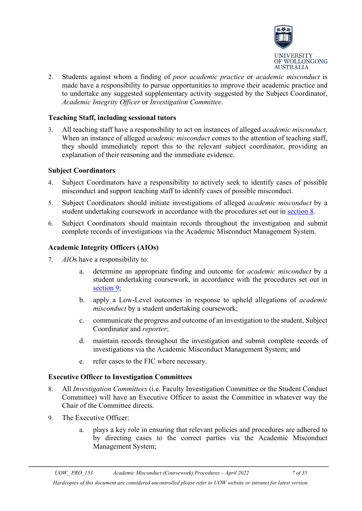

2. Students against whom a finding of *poor academic practice* or *academic misconduct* is made have a responsibility to pursue opportunities to improve their academic practice and to undertake any suggested supplementary activity suggested by the Subject Coordinator, *Academic Integrity Officer* or *Investigation Committee*.

#### <span id="page-6-0"></span>**Teaching Staff, including sessional tutors**

3. All teaching staff have a responsibility to act on instances of alleged *academic misconduct*. When an instance of alleged *academic misconduct* comes to the attention of teaching staff, they should immediately report this to the relevant subject coordinator, providing an explanation of their reasoning and the immediate evidence.

#### <span id="page-6-1"></span>**Subject Coordinators**

- 4. Subject Coordinators have a responsibility to actively seek to identify cases of possible misconduct and support teaching staff to identify cases of possible misconduct.
- 5. Subject Coordinators should initiate investigations of alleged *academic misconduct* by a student undertaking coursework in accordance with the procedures set out in [section 8.](#page-13-1)
- 6. Subject Coordinators should maintain records throughout the investigation and submit complete records of investigations via the Academic Misconduct Management System.

#### <span id="page-6-2"></span>**Academic Integrity Officers (AIOs)**

- 7. *AIO*s have a responsibility to:
	- a. determine an appropriate finding and outcome for *academic misconduct* by a student undertaking coursework, in accordance with the procedures set out in [section 9;](#page-16-1)
	- b. apply a Low-Level outcomes in response to upheld allegations of *academic misconduct* by a student undertaking coursework;
	- c. communicate the progress and outcome of an investigation to the student, Subject Coordinator and *reporter*;
	- d. maintain records throughout the investigation and submit complete records of investigations via the Academic Misconduct Management System; and
	- e. refer cases to the FIC where necessary.

#### <span id="page-6-3"></span>**Executive Officer to Investigation Committees**

- 8. All *Investigation Committees* (i.e. Faculty Investigation Committee or the Student Conduct Committee) will have an Executive Officer to assist the Committee in whatever way the Chair of the Committee directs.
- 9. The Executive Officer:
	- a. plays a key role in ensuring that relevant policies and procedures are adhered to by directing cases to the correct parties via the Academic Misconduct Management System;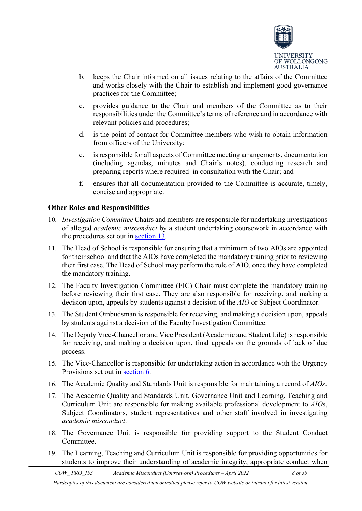

- b. keeps the Chair informed on all issues relating to the affairs of the Committee and works closely with the Chair to establish and implement good governance practices for the Committee;
- c. provides guidance to the Chair and members of the Committee as to their responsibilities under the Committee's terms of reference and in accordance with relevant policies and procedures;
- d. is the point of contact for Committee members who wish to obtain information from officers of the University;
- e. is responsible for all aspects of Committee meeting arrangements, documentation (including agendas, minutes and Chair's notes), conducting research and preparing reports where required in consultation with the Chair; and
- f. ensures that all documentation provided to the Committee is accurate, timely, concise and appropriate.

#### <span id="page-7-0"></span>**Other Roles and Responsibilities**

- 10. *Investigation Committee* Chairs and members are responsible for undertaking investigations of alleged *academic misconduct* by a student undertaking coursework in accordance with the procedures set out in [section 13.](#page-22-0)
- 11. The Head of School is responsible for ensuring that a minimum of two AIOs are appointed for their school and that the AIOs have completed the mandatory training prior to reviewing their first case. The Head of School may perform the role of AIO, once they have completed the mandatory training.
- 12. The Faculty Investigation Committee (FIC) Chair must complete the mandatory training before reviewing their first case. They are also responsible for receiving, and making a decision upon, appeals by students against a decision of the *AIO* or Subject Coordinator.
- 13. The Student Ombudsman is responsible for receiving, and making a decision upon, appeals by students against a decision of the Faculty Investigation Committee.
- 14. The Deputy Vice-Chancellor and Vice President (Academic and Student Life) is responsible for receiving, and making a decision upon, final appeals on the grounds of lack of due process.
- 15. The Vice-Chancellor is responsible for undertaking action in accordance with the Urgency Provisions set out in [section 6.](#page-12-0)
- 16. The Academic Quality and Standards Unit is responsible for maintaining a record of *AIOs*.
- 17. The Academic Quality and Standards Unit, Governance Unit and Learning, Teaching and Curriculum Unit are responsible for making available professional development to *AIO*s, Subject Coordinators, student representatives and other staff involved in investigating *academic misconduct*.
- 18. The Governance Unit is responsible for providing support to the Student Conduct Committee.
- 19. The Learning, Teaching and Curriculum Unit is responsible for providing opportunities for students to improve their understanding of academic integrity, appropriate conduct when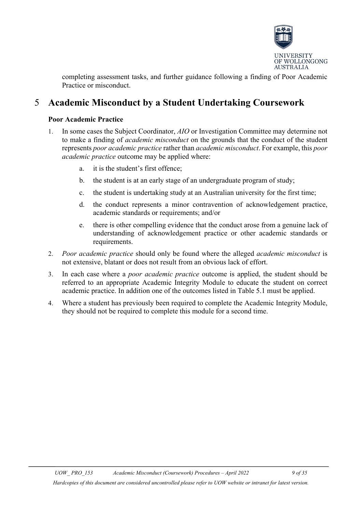

completing assessment tasks, and further guidance following a finding of Poor Academic Practice or misconduct.

## <span id="page-8-1"></span><span id="page-8-0"></span>5 **Academic Misconduct by a Student Undertaking Coursework**

#### **Poor Academic Practice**

- 1. In some cases the Subject Coordinator, *AIO* or Investigation Committee may determine not to make a finding of *academic misconduct* on the grounds that the conduct of the student represents *poor academic practice* rather than *academic misconduct*. For example, this *poor academic practice* outcome may be applied where:
	- a. it is the student's first offence;
	- b. the student is at an early stage of an undergraduate program of study;
	- c. the student is undertaking study at an Australian university for the first time;
	- d. the conduct represents a minor contravention of acknowledgement practice, academic standards or requirements; and/or
	- e. there is other compelling evidence that the conduct arose from a genuine lack of understanding of acknowledgement practice or other academic standards or requirements.
- 2. *Poor academic practice* should only be found where the alleged *academic misconduct* is not extensive, blatant or does not result from an obvious lack of effort.
- 3. In each case where a *poor academic practice* outcome is applied, the student should be referred to an appropriate Academic Integrity Module to educate the student on correct academic practice. In addition one of the outcomes listed in Table 5.1 must be applied.
- 4. Where a student has previously been required to complete the Academic Integrity Module, they should not be required to complete this module for a second time.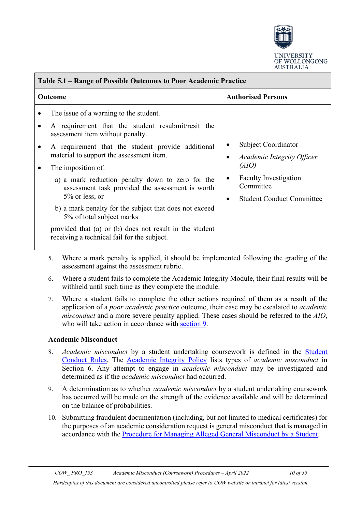

| Table 5.1 – Range of Possible Outcomes to Poor Academic Practice                                                                                                                                                                                                                                                                                                                                                                                                                                                                                                                     |                                                                                                                                                  |  |  |
|--------------------------------------------------------------------------------------------------------------------------------------------------------------------------------------------------------------------------------------------------------------------------------------------------------------------------------------------------------------------------------------------------------------------------------------------------------------------------------------------------------------------------------------------------------------------------------------|--------------------------------------------------------------------------------------------------------------------------------------------------|--|--|
| Outcome                                                                                                                                                                                                                                                                                                                                                                                                                                                                                                                                                                              | <b>Authorised Persons</b>                                                                                                                        |  |  |
| The issue of a warning to the student.<br>A requirement that the student resubmit/resit the<br>assessment item without penalty.<br>A requirement that the student provide additional<br>material to support the assessment item.<br>The imposition of:<br>a) a mark reduction penalty down to zero for the<br>assessment task provided the assessment is worth<br>$5\%$ or less, or<br>b) a mark penalty for the subject that does not exceed<br>5% of total subject marks<br>provided that (a) or (b) does not result in the student<br>receiving a technical fail for the subject. | Subject Coordinator<br>Academic Integrity Officer<br>(AIO)<br><b>Faculty Investigation</b><br>Committee<br><b>Student Conduct Committee</b><br>٠ |  |  |

- 5. Where a mark penalty is applied, it should be implemented following the grading of the assessment against the assessment rubric.
- 6. Where a student fails to complete the Academic Integrity Module, their final results will be withheld until such time as they complete the module.
- 7. Where a student fails to complete the other actions required of them as a result of the application of a *poor academic practice* outcome, their case may be escalated to *academic misconduct* and a more severe penalty applied. These cases should be referred to the *AIO*, who will take action in accordance with [section 9.](#page-16-1)

#### <span id="page-9-0"></span>**Academic Misconduct**

- 8. *Academic misconduct* by a student undertaking coursework is defined in the [Student](http://www.uow.edu.au/about/policy/UOW058723.html)  [Conduct Rules.](http://www.uow.edu.au/about/policy/UOW058723.html) The [Academic Integrity Policy](http://www.uow.edu.au/about/policy/UOW058648.html) lists types of *academic misconduct* in Section 6. Any attempt to engage in *academic misconduct* may be investigated and determined as if the *academic misconduct* had occurred.
- 9. A determination as to whether *academic misconduct* by a student undertaking coursework has occurred will be made on the strength of the evidence available and will be determined on the balance of probabilities.
- 10. Submitting fraudulent documentation (including, but not limited to medical certificates) for the purposes of an academic consideration request is general misconduct that is managed in accordance with the [Procedure for Managing Alleged General Misconduct by a Student.](https://documents.uow.edu.au/about/policy/UOW058636.html)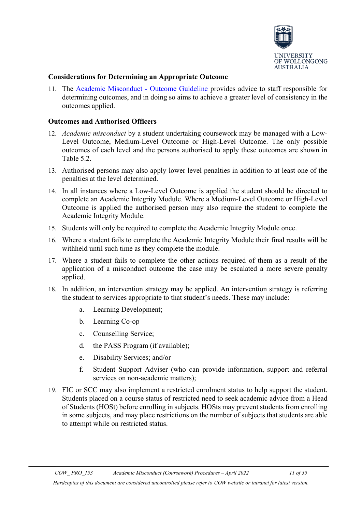

#### <span id="page-10-0"></span>**Considerations for Determining an Appropriate Outcome**

11. The **Academic Misconduct - Outcome Guideline** provides advice to staff responsible for determining outcomes, and in doing so aims to achieve a greater level of consistency in the outcomes applied.

#### <span id="page-10-1"></span>**Outcomes and Authorised Officers**

- 12. *Academic misconduct* by a student undertaking coursework may be managed with a Low-Level Outcome, Medium-Level Outcome or High-Level Outcome. The only possible outcomes of each level and the persons authorised to apply these outcomes are shown in Table 5.2.
- 13. Authorised persons may also apply lower level penalties in addition to at least one of the penalties at the level determined.
- 14. In all instances where a Low-Level Outcome is applied the student should be directed to complete an Academic Integrity Module. Where a Medium-Level Outcome or High-Level Outcome is applied the authorised person may also require the student to complete the Academic Integrity Module.
- 15. Students will only be required to complete the Academic Integrity Module once.
- 16. Where a student fails to complete the Academic Integrity Module their final results will be withheld until such time as they complete the module.
- 17. Where a student fails to complete the other actions required of them as a result of the application of a misconduct outcome the case may be escalated a more severe penalty applied.
- 18. In addition, an intervention strategy may be applied. An intervention strategy is referring the student to services appropriate to that student's needs. These may include:
	- a. Learning Development;
	- b. Learning Co-op
	- c. Counselling Service;
	- d. the PASS Program (if available);
	- e. Disability Services; and/or
	- f. Student Support Adviser (who can provide information, support and referral services on non-academic matters);
- 19. FIC or SCC may also implement a restricted enrolment status to help support the student. Students placed on a course status of restricted need to seek academic advice from a Head of Students (HOSt) before enrolling in subjects. HOSts may prevent students from enrolling in some subjects, and may place restrictions on the number of subjects that students are able to attempt while on restricted status.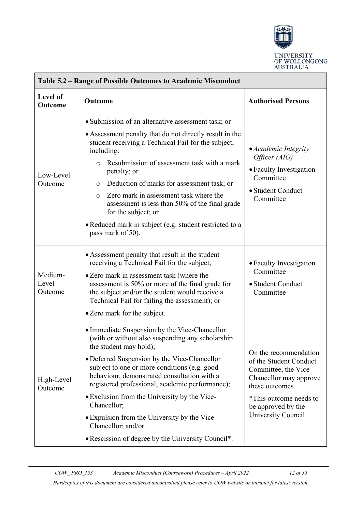

| Table 5.2 – Range of Possible Outcomes to Academic Misconduct                                                                                                                                                                                                                                                                                                                                                                                                                                                                                     |                                                                                                                                                                                                                                                                                                                                                                                                                                                                                                                              |                                                                                                                                                                                           |  |  |
|---------------------------------------------------------------------------------------------------------------------------------------------------------------------------------------------------------------------------------------------------------------------------------------------------------------------------------------------------------------------------------------------------------------------------------------------------------------------------------------------------------------------------------------------------|------------------------------------------------------------------------------------------------------------------------------------------------------------------------------------------------------------------------------------------------------------------------------------------------------------------------------------------------------------------------------------------------------------------------------------------------------------------------------------------------------------------------------|-------------------------------------------------------------------------------------------------------------------------------------------------------------------------------------------|--|--|
| Level of<br>Outcome                                                                                                                                                                                                                                                                                                                                                                                                                                                                                                                               | Outcome                                                                                                                                                                                                                                                                                                                                                                                                                                                                                                                      | <b>Authorised Persons</b>                                                                                                                                                                 |  |  |
| Low-Level<br>Outcome                                                                                                                                                                                                                                                                                                                                                                                                                                                                                                                              | • Submission of an alternative assessment task; or<br>• Assessment penalty that do not directly result in the<br>student receiving a Technical Fail for the subject,<br>including:<br>Resubmission of assessment task with a mark<br>$\circ$<br>penalty; or<br>Deduction of marks for assessment task; or<br>O<br>Zero mark in assessment task where the<br>$\circ$<br>assessment is less than 50% of the final grade<br>for the subject; or<br>• Reduced mark in subject (e.g. student restricted to a<br>pass mark of 50). | • Academic Integrity<br>Officer (AIO)<br>• Faculty Investigation<br>Committee<br>· Student Conduct<br>Committee                                                                           |  |  |
| Medium-<br>Level<br>Outcome                                                                                                                                                                                                                                                                                                                                                                                                                                                                                                                       | • Assessment penalty that result in the student<br>receiving a Technical Fail for the subject;<br>• Zero mark in assessment task (where the<br>assessment is 50% or more of the final grade for<br>the subject and/or the student would receive a<br>Technical Fail for failing the assessment); or<br>• Zero mark for the subject.                                                                                                                                                                                          | • Faculty Investigation<br>Committee<br>· Student Conduct<br>Committee                                                                                                                    |  |  |
| • Immediate Suspension by the Vice-Chancellor<br>(with or without also suspending any scholarship<br>the student may hold);<br>• Deferred Suspension by the Vice-Chancellor<br>subject to one or more conditions (e.g. good<br>behaviour, demonstrated consultation with a<br>High-Level<br>registered professional, academic performance);<br>Outcome<br>• Exclusion from the University by the Vice-<br>Chancellor;<br>• Expulsion from the University by the Vice-<br>Chancellor; and/or<br>• Rescission of degree by the University Council*. |                                                                                                                                                                                                                                                                                                                                                                                                                                                                                                                              | On the recommendation<br>of the Student Conduct<br>Committee, the Vice-<br>Chancellor may approve<br>these outcomes<br>*This outcome needs to<br>be approved by the<br>University Council |  |  |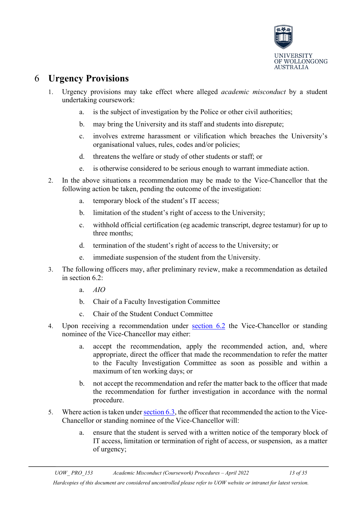

## <span id="page-12-0"></span>6 **Urgency Provisions**

- 1. Urgency provisions may take effect where alleged *academic misconduct* by a student undertaking coursework:
	- a. is the subject of investigation by the Police or other civil authorities;
	- b. may bring the University and its staff and students into disrepute;
	- c. involves extreme harassment or vilification which breaches the University's organisational values, rules, codes and/or policies;
	- d. threatens the welfare or study of other students or staff; or
	- e. is otherwise considered to be serious enough to warrant immediate action.
- 2. In the above situations a recommendation may be made to the Vice-Chancellor that the following action be taken, pending the outcome of the investigation:
	- a. temporary block of the student's IT access;
	- b. limitation of the student's right of access to the University;
	- c. withhold official certification (eg academic transcript, degree testamur) for up to three months;
	- d. termination of the student's right of access to the University; or
	- e. immediate suspension of the student from the University.
- 3. The following officers may, after preliminary review, make a recommendation as detailed in section 6.2:
	- a. *AIO*
	- b. Chair of a Faculty Investigation Committee
	- c. Chair of the Student Conduct Committee
- 4. Upon receiving a recommendation under [section 6.2](#page-12-0) the Vice-Chancellor or standing nominee of the Vice-Chancellor may either:
	- a. accept the recommendation, apply the recommended action, and, where appropriate, direct the officer that made the recommendation to refer the matter to the Faculty Investigation Committee as soon as possible and within a maximum of ten working days; or
	- b. not accept the recommendation and refer the matter back to the officer that made the recommendation for further investigation in accordance with the normal procedure.
- 5. Where action is taken under [section 6.3,](#page-12-0) the officer that recommended the action to the Vice-Chancellor or standing nominee of the Vice-Chancellor will:
	- a. ensure that the student is served with a written notice of the temporary block of IT access, limitation or termination of right of access, or suspension, as a matter of urgency;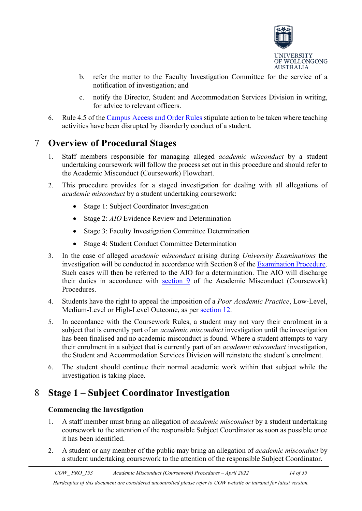

- b. refer the matter to the Faculty Investigation Committee for the service of a notification of investigation; and
- c. notify the Director, Student and Accommodation Services Division in writing, for advice to relevant officers.
- 6. Rule 4.5 of the [Campus Access and Order Rules](http://www.uow.edu.au/about/policy/UOW058655.html) stipulate action to be taken where teaching activities have been disrupted by disorderly conduct of a student.

## <span id="page-13-0"></span>7 **Overview of Procedural Stages**

- 1. Staff members responsible for managing alleged *academic misconduct* by a student undertaking coursework will follow the process set out in this procedure and should refer to the Academic Misconduct (Coursework) Flowchart.
- 2. This procedure provides for a staged investigation for dealing with all allegations of *academic misconduct* by a student undertaking coursework:
	- Stage 1: Subject Coordinator Investigation
	- Stage 2: *AIO* Evidence Review and Determination
	- Stage 3: Faculty Investigation Committee Determination
	- Stage 4: Student Conduct Committee Determination
- 3. In the case of alleged *academic misconduct* arising during *University Examinations* the investigation will be conducted in accordance with Section 8 of the [Examination Procedure.](http://www.uow.edu.au/about/policy/UOW117946.html) Such cases will then be referred to the AIO for a determination. The AIO will discharge their duties in accordance with [section 9](#page-16-1) of the Academic Misconduct (Coursework) Procedures.
- 4. Students have the right to appeal the imposition of a *Poor Academic Practice*, Low-Level, Medium-Level or High-Level Outcome, as per [section 12.](#page-19-0)
- 5. In accordance with the Coursework Rules, a student may not vary their enrolment in a subject that is currently part of an *academic misconduct* investigation until the investigation has been finalised and no academic misconduct is found. Where a student attempts to vary their enrolment in a subject that is currently part of an *academic misconduct* investigation, the Student and Accommodation Services Division will reinstate the student's enrolment.
- 6. The student should continue their normal academic work within that subject while the investigation is taking place.

## <span id="page-13-2"></span><span id="page-13-1"></span>8 **Stage 1 – Subject Coordinator Investigation**

#### **Commencing the Investigation**

- 1. A staff member must bring an allegation of *academic misconduct* by a student undertaking coursework to the attention of the responsible Subject Coordinator as soon as possible once it has been identified.
- 2. A student or any member of the public may bring an allegation of *academic misconduct* by a student undertaking coursework to the attention of the responsible Subject Coordinator.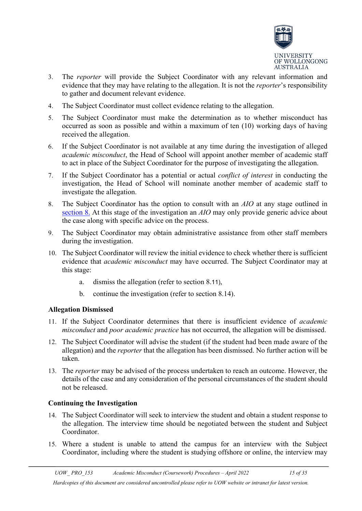

- 3. The *reporter* will provide the Subject Coordinator with any relevant information and evidence that they may have relating to the allegation. It is not the *reporter*'s responsibility to gather and document relevant evidence.
- 4. The Subject Coordinator must collect evidence relating to the allegation.
- 5. The Subject Coordinator must make the determination as to whether misconduct has occurred as soon as possible and within a maximum of ten (10) working days of having received the allegation.
- 6. If the Subject Coordinator is not available at any time during the investigation of alleged *academic misconduct*, the Head of School will appoint another member of academic staff to act in place of the Subject Coordinator for the purpose of investigating the allegation.
- 7. If the Subject Coordinator has a potential or actual *conflict of interest* in conducting the investigation, the Head of School will nominate another member of academic staff to investigate the allegation.
- 8. The Subject Coordinator has the option to consult with an *AIO* at any stage outlined in [section 8.](#page-13-1) At this stage of the investigation an *AIO* may only provide generic advice about the case along with specific advice on the process.
- 9. The Subject Coordinator may obtain administrative assistance from other staff members during the investigation.
- 10. The Subject Coordinator will review the initial evidence to check whether there is sufficient evidence that *academic misconduct* may have occurred. The Subject Coordinator may at this stage:
	- a. dismiss the allegation (refer to section 8.11),
	- b. continue the investigation (refer to section 8.14).

#### <span id="page-14-0"></span>**Allegation Dismissed**

- 11. If the Subject Coordinator determines that there is insufficient evidence of *academic misconduct* and *poor academic practice* has not occurred, the allegation will be dismissed.
- 12. The Subject Coordinator will advise the student (if the student had been made aware of the allegation) and the *reporter* that the allegation has been dismissed. No further action will be taken.
- 13. The *reporter* may be advised of the process undertaken to reach an outcome. However, the details of the case and any consideration of the personal circumstances of the student should not be released.

#### <span id="page-14-1"></span>**Continuing the Investigation**

- 14. The Subject Coordinator will seek to interview the student and obtain a student response to the allegation. The interview time should be negotiated between the student and Subject Coordinator.
- 15. Where a student is unable to attend the campus for an interview with the Subject Coordinator, including where the student is studying offshore or online, the interview may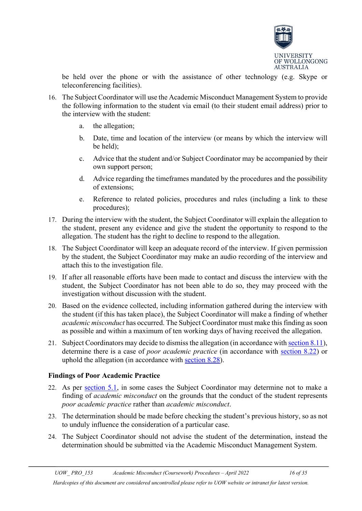

be held over the phone or with the assistance of other technology (e.g. Skype or teleconferencing facilities).

- 16. The Subject Coordinator will use the Academic Misconduct Management System to provide the following information to the student via email (to their student email address) prior to the interview with the student:
	- a. the allegation;
	- b. Date, time and location of the interview (or means by which the interview will be held);
	- c. Advice that the student and/or Subject Coordinator may be accompanied by their own support person;
	- d. Advice regarding the timeframes mandated by the procedures and the possibility of extensions;
	- e. Reference to related policies, procedures and rules (including a link to these procedures);
- 17. During the interview with the student, the Subject Coordinator will explain the allegation to the student, present any evidence and give the student the opportunity to respond to the allegation. The student has the right to decline to respond to the allegation.
- 18. The Subject Coordinator will keep an adequate record of the interview. If given permission by the student, the Subject Coordinator may make an audio recording of the interview and attach this to the investigation file.
- 19. If after all reasonable efforts have been made to contact and discuss the interview with the student, the Subject Coordinator has not been able to do so, they may proceed with the investigation without discussion with the student.
- 20. Based on the evidence collected, including information gathered during the interview with the student (if this has taken place), the Subject Coordinator will make a finding of whether *academic misconduct* has occurred. The Subject Coordinator must make this finding as soon as possible and within a maximum of ten working days of having received the allegation.
- 21. Subject Coordinators may decide to dismiss the allegation (in accordance with [section 8.11\)](#page-14-0), determine there is a case of *poor academic practice* (in accordance with [section 8.22\)](#page-15-0) or uphold the allegation (in accordance with [section 8.28\)](#page-16-0).

#### <span id="page-15-0"></span>**Findings of Poor Academic Practice**

- 22. As per [section 5.1,](#page-8-1) in some cases the Subject Coordinator may determine not to make a finding of *academic misconduct* on the grounds that the conduct of the student represents *poor academic practice* rather than *academic misconduct*.
- 23. The determination should be made before checking the student's previous history, so as not to unduly influence the consideration of a particular case.
- 24. The Subject Coordinator should not advise the student of the determination, instead the determination should be submitted via the Academic Misconduct Management System.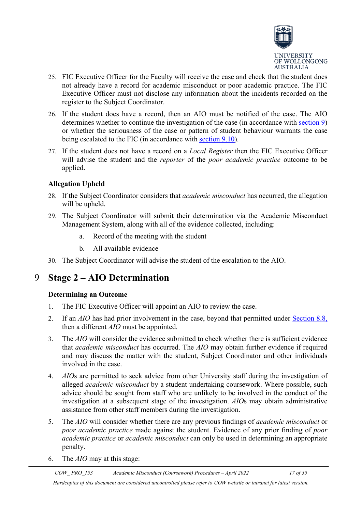

- 25. FIC Executive Officer for the Faculty will receive the case and check that the student does not already have a record for academic misconduct or poor academic practice. The FIC Executive Officer must not disclose any information about the incidents recorded on the register to the Subject Coordinator.
- 26. If the student does have a record, then an AIO must be notified of the case. The AIO determines whether to continue the investigation of the case (in accordance with [section 9\)](#page-17-2) or whether the seriousness of the case or pattern of student behaviour warrants the case being escalated to the FIC (in accordance with [section 9.10\)](#page-17-1).
- 27. If the student does not have a record on a *Local Register* then the FIC Executive Officer will advise the student and the *reporter* of the *poor academic practice* outcome to be applied.

#### <span id="page-16-0"></span>**Allegation Upheld**

- 28. If the Subject Coordinator considers that *academic misconduct* has occurred, the allegation will be upheld.
- 29. The Subject Coordinator will submit their determination via the Academic Misconduct Management System, along with all of the evidence collected, including:
	- a. Record of the meeting with the student
	- b. All available evidence
- 30. The Subject Coordinator will advise the student of the escalation to the AIO.

### <span id="page-16-2"></span><span id="page-16-1"></span>9 **Stage 2 – AIO Determination**

#### **Determining an Outcome**

- 1. The FIC Executive Officer will appoint an AIO to review the case.
- 2. If an *AIO* has had prior involvement in the case, beyond that permitted under [Section 8.8,](#page-13-2) then a different *AIO* must be appointed.
- 3. The *AIO* will consider the evidence submitted to check whether there is sufficient evidence that *academic misconduct* has occurred. The *AIO* may obtain further evidence if required and may discuss the matter with the student, Subject Coordinator and other individuals involved in the case.
- 4. *AIO*s are permitted to seek advice from other University staff during the investigation of alleged *academic misconduct* by a student undertaking coursework. Where possible, such advice should be sought from staff who are unlikely to be involved in the conduct of the investigation at a subsequent stage of the investigation. *AIO*s may obtain administrative assistance from other staff members during the investigation.
- 5. The *AIO* will consider whether there are any previous findings of *academic misconduct* or *poor academic practice* made against the student. Evidence of any prior finding of *poor academic practice* or *academic misconduct* can only be used in determining an appropriate penalty.
- 6. The *AIO* may at this stage: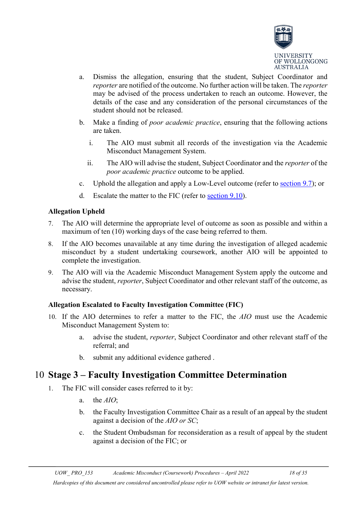

- a. Dismiss the allegation, ensuring that the student, Subject Coordinator and *reporter* are notified of the outcome. No further action will be taken. The *reporter* may be advised of the process undertaken to reach an outcome. However, the details of the case and any consideration of the personal circumstances of the student should not be released.
- b. Make a finding of *poor academic practice*, ensuring that the following actions are taken.
	- i. The AIO must submit all records of the investigation via the Academic Misconduct Management System.
	- ii. The AIO will advise the student, Subject Coordinator and the *reporter* of the *poor academic practice* outcome to be applied.
- c. Uphold the allegation and apply a Low-Level outcome (refer to [section 9.7\)](#page-17-0); or
- d. Escalate the matter to the FIC (refer to [section 9.10\)](#page-17-1).

#### <span id="page-17-0"></span>**Allegation Upheld**

- 7. The AIO will determine the appropriate level of outcome as soon as possible and within a maximum of ten (10) working days of the case being referred to them.
- 8. If the AIO becomes unavailable at any time during the investigation of alleged academic misconduct by a student undertaking coursework, another AIO will be appointed to complete the investigation.
- 9. The AIO will via the Academic Misconduct Management System apply the outcome and advise the student, *reporter*, Subject Coordinator and other relevant staff of the outcome, as necessary.

#### <span id="page-17-1"></span>**Allegation Escalated to Faculty Investigation Committee (FIC)**

- 10. If the AIO determines to refer a matter to the FIC, the *AIO* must use the Academic Misconduct Management System to:
	- a. advise the student, *reporter*, Subject Coordinator and other relevant staff of the referral; and
	- b. submit any additional evidence gathered .

### <span id="page-17-2"></span>10 **Stage 3 – Faculty Investigation Committee Determination**

- 1. The FIC will consider cases referred to it by:
	- a. the *AIO*;
	- b. the Faculty Investigation Committee Chair as a result of an appeal by the student against a decision of the *AIO or SC*;
	- c. the Student Ombudsman for reconsideration as a result of appeal by the student against a decision of the FIC; or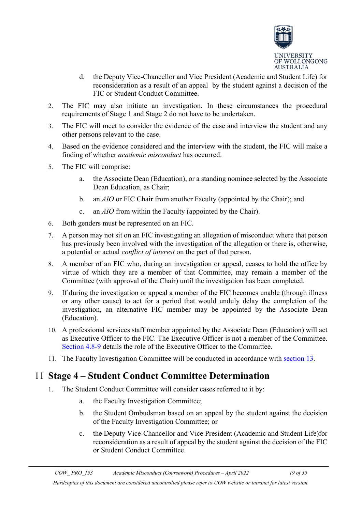

- d. the Deputy Vice-Chancellor and Vice President (Academic and Student Life) for reconsideration as a result of an appeal by the student against a decision of the FIC or Student Conduct Committee.
- 2. The FIC may also initiate an investigation. In these circumstances the procedural requirements of Stage 1 and Stage 2 do not have to be undertaken.
- 3. The FIC will meet to consider the evidence of the case and interview the student and any other persons relevant to the case.
- 4. Based on the evidence considered and the interview with the student, the FIC will make a finding of whether *academic misconduct* has occurred.
- 5. The FIC will comprise:
	- a. the Associate Dean (Education), or a standing nominee selected by the Associate Dean Education, as Chair;
	- b. an *AIO* or FIC Chair from another Faculty (appointed by the Chair); and
	- c. an *AIO* from within the Faculty (appointed by the Chair).
- 6. Both genders must be represented on an FIC.
- 7. A person may not sit on an FIC investigating an allegation of misconduct where that person has previously been involved with the investigation of the allegation or there is, otherwise, a potential or actual *conflict of interest* on the part of that person.
- 8. A member of an FIC who, during an investigation or appeal, ceases to hold the office by virtue of which they are a member of that Committee, may remain a member of the Committee (with approval of the Chair) until the investigation has been completed.
- 9. If during the investigation or appeal a member of the FIC becomes unable (through illness or any other cause) to act for a period that would unduly delay the completion of the investigation, an alternative FIC member may be appointed by the Associate Dean (Education).
- 10. A professional services staff member appointed by the Associate Dean (Education) will act as Executive Officer to the FIC. The Executive Officer is not a member of the Committee. [Section 4.8-9](#page-6-3) details the role of the Executive Officer to the Committee.
- 11. The Faculty Investigation Committee will be conducted in accordance with [section 13.](#page-22-0)

## <span id="page-18-0"></span>11 **Stage 4 – Student Conduct Committee Determination**

- 1. The Student Conduct Committee will consider cases referred to it by:
	- a. the Faculty Investigation Committee;
	- b. the Student Ombudsman based on an appeal by the student against the decision of the Faculty Investigation Committee; or
	- c. the Deputy Vice-Chancellor and Vice President (Academic and Student Life)for reconsideration as a result of appeal by the student against the decision of the FIC or Student Conduct Committee.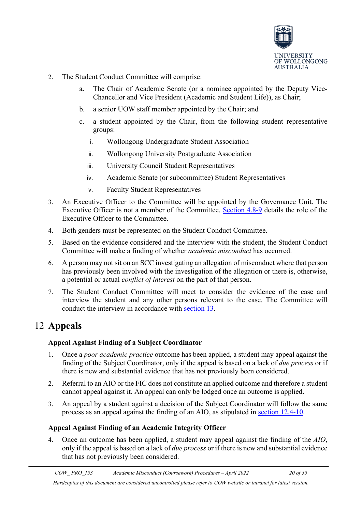

- 2. The Student Conduct Committee will comprise:
	- a. The Chair of Academic Senate (or a nominee appointed by the Deputy Vice-Chancellor and Vice President (Academic and Student Life)), as Chair;
	- b. a senior UOW staff member appointed by the Chair; and
	- c. a student appointed by the Chair, from the following student representative groups:
		- i. Wollongong Undergraduate Student Association
		- ii. Wollongong University Postgraduate Association
		- iii. University Council Student Representatives
		- iv. Academic Senate (or subcommittee) Student Representatives
		- v. Faculty Student Representatives
- 3. An Executive Officer to the Committee will be appointed by the Governance Unit. The Executive Officer is not a member of the Committee. [Section 4.8-9](#page-6-3) details the role of the Executive Officer to the Committee.
- 4. Both genders must be represented on the Student Conduct Committee.
- 5. Based on the evidence considered and the interview with the student, the Student Conduct Committee will make a finding of whether *academic misconduct* has occurred.
- 6. A person may not sit on an SCC investigating an allegation of misconduct where that person has previously been involved with the investigation of the allegation or there is, otherwise, a potential or actual *conflict of interest* on the part of that person.
- 7. The Student Conduct Committee will meet to consider the evidence of the case and interview the student and any other persons relevant to the case. The Committee will conduct the interview in accordance with [section 13.](#page-22-0)

## <span id="page-19-1"></span><span id="page-19-0"></span>12 **Appeals**

#### **Appeal Against Finding of a Subject Coordinator**

- 1. Once a *poor academic practice* outcome has been applied, a student may appeal against the finding of the Subject Coordinator, only if the appeal is based on a lack of *due process* or if there is new and substantial evidence that has not previously been considered.
- 2. Referral to an AIO or the FIC does not constitute an applied outcome and therefore a student cannot appeal against it. An appeal can only be lodged once an outcome is applied.
- 3. An appeal by a student against a decision of the Subject Coordinator will follow the same process as an appeal against the finding of an AIO, as stipulated in [section 12.4-10.](#page-19-2)

#### <span id="page-19-2"></span>**Appeal Against Finding of an Academic Integrity Officer**

4. Once an outcome has been applied, a student may appeal against the finding of the *AIO*, only if the appeal is based on a lack of *due process* or if there is new and substantial evidence that has not previously been considered.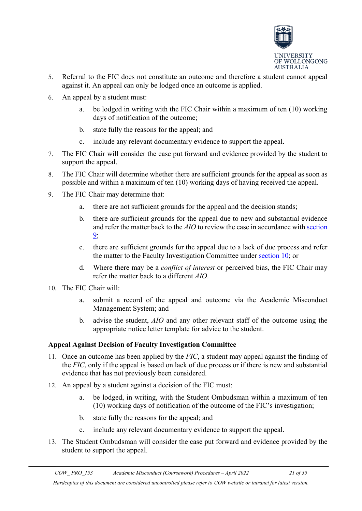

- 5. Referral to the FIC does not constitute an outcome and therefore a student cannot appeal against it. An appeal can only be lodged once an outcome is applied.
- 6. An appeal by a student must:
	- a. be lodged in writing with the FIC Chair within a maximum of ten (10) working days of notification of the outcome;
	- b. state fully the reasons for the appeal; and
	- c. include any relevant documentary evidence to support the appeal.
- 7. The FIC Chair will consider the case put forward and evidence provided by the student to support the appeal.
- 8. The FIC Chair will determine whether there are sufficient grounds for the appeal as soon as possible and within a maximum of ten (10) working days of having received the appeal.
- 9. The FIC Chair may determine that:
	- a. there are not sufficient grounds for the appeal and the decision stands;
	- b. there are sufficient grounds for the appeal due to new and substantial evidence and refer the matter back to the *AIO* to review the case in accordance wit[h section](#page-16-1)  [9;](#page-16-1)
	- c. there are sufficient grounds for the appeal due to a lack of due process and refer the matter to the Faculty Investigation Committee under [section 10;](#page-17-2) or
	- d. Where there may be a *conflict of interest* or perceived bias, the FIC Chair may refer the matter back to a different *AIO*.
- 10. The FIC Chair will:
	- a. submit a record of the appeal and outcome via the Academic Misconduct Management System; and
	- b. advise the student, *AIO* and any other relevant staff of the outcome using the appropriate notice letter template for advice to the student.

#### <span id="page-20-0"></span>**Appeal Against Decision of Faculty Investigation Committee**

- 11. Once an outcome has been applied by the *FIC*, a student may appeal against the finding of the *FIC*, only if the appeal is based on lack of due process or if there is new and substantial evidence that has not previously been considered.
- 12. An appeal by a student against a decision of the FIC must:
	- a. be lodged, in writing, with the Student Ombudsman within a maximum of ten (10) working days of notification of the outcome of the FIC's investigation;
	- b. state fully the reasons for the appeal; and
	- c. include any relevant documentary evidence to support the appeal.
- 13. The Student Ombudsman will consider the case put forward and evidence provided by the student to support the appeal.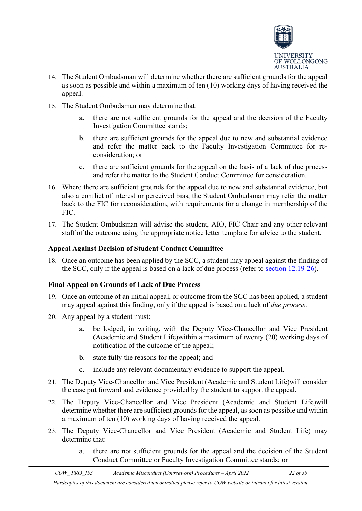

- 14. The Student Ombudsman will determine whether there are sufficient grounds for the appeal as soon as possible and within a maximum of ten (10) working days of having received the appeal.
- 15. The Student Ombudsman may determine that:
	- a. there are not sufficient grounds for the appeal and the decision of the Faculty Investigation Committee stands;
	- b. there are sufficient grounds for the appeal due to new and substantial evidence and refer the matter back to the Faculty Investigation Committee for reconsideration; or
	- c. there are sufficient grounds for the appeal on the basis of a lack of due process and refer the matter to the Student Conduct Committee for consideration.
- 16. Where there are sufficient grounds for the appeal due to new and substantial evidence, but also a conflict of interest or perceived bias, the Student Ombudsman may refer the matter back to the FIC for reconsideration, with requirements for a change in membership of the FIC.
- 17. The Student Ombudsman will advise the student, AIO, FIC Chair and any other relevant staff of the outcome using the appropriate notice letter template for advice to the student.

#### <span id="page-21-0"></span>**Appeal Against Decision of Student Conduct Committee**

18. Once an outcome has been applied by the SCC, a student may appeal against the finding of the SCC, only if the appeal is based on a lack of due process (refer to [section 12.19-26\)](#page-21-1).

#### <span id="page-21-1"></span>**Final Appeal on Grounds of Lack of Due Process**

- 19. Once an outcome of an initial appeal, or outcome from the SCC has been applied, a student may appeal against this finding, only if the appeal is based on a lack of *due process*.
- 20. Any appeal by a student must:
	- a. be lodged, in writing, with the Deputy Vice-Chancellor and Vice President (Academic and Student Life)within a maximum of twenty (20) working days of notification of the outcome of the appeal;
	- b. state fully the reasons for the appeal; and
	- c. include any relevant documentary evidence to support the appeal.
- 21. The Deputy Vice-Chancellor and Vice President (Academic and Student Life)will consider the case put forward and evidence provided by the student to support the appeal.
- 22. The Deputy Vice-Chancellor and Vice President (Academic and Student Life)will determine whether there are sufficient grounds for the appeal, as soon as possible and within a maximum of ten (10) working days of having received the appeal.
- 23. The Deputy Vice-Chancellor and Vice President (Academic and Student Life) may determine that:
	- a. there are not sufficient grounds for the appeal and the decision of the Student Conduct Committee or Faculty Investigation Committee stands; or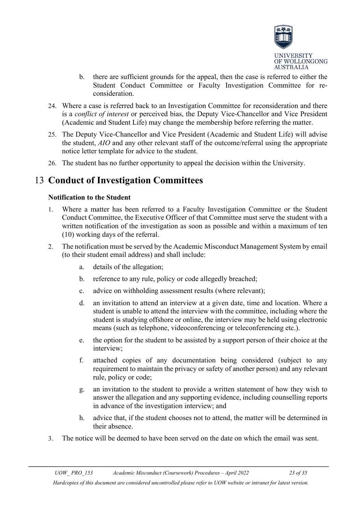

- b. there are sufficient grounds for the appeal, then the case is referred to either the Student Conduct Committee or Faculty Investigation Committee for reconsideration.
- 24. Where a case is referred back to an Investigation Committee for reconsideration and there is a *conflict of interest* or perceived bias, the Deputy Vice-Chancellor and Vice President (Academic and Student Life) may change the membership before referring the matter.
- 25. The Deputy Vice-Chancellor and Vice President (Academic and Student Life) will advise the student, *AIO* and any other relevant staff of the outcome/referral using the appropriate notice letter template for advice to the student.
- 26. The student has no further opportunity to appeal the decision within the University.

### <span id="page-22-1"></span><span id="page-22-0"></span>13 **Conduct of Investigation Committees**

#### **Notification to the Student**

- 1. Where a matter has been referred to a Faculty Investigation Committee or the Student Conduct Committee, the Executive Officer of that Committee must serve the student with a written notification of the investigation as soon as possible and within a maximum of ten (10) working days of the referral.
- 2. The notification must be served by the Academic Misconduct Management System by email (to their student email address) and shall include:
	- a. details of the allegation;
	- b. reference to any rule, policy or code allegedly breached;
	- c. advice on withholding assessment results (where relevant);
	- d. an invitation to attend an interview at a given date, time and location. Where a student is unable to attend the interview with the committee, including where the student is studying offshore or online, the interview may be held using electronic means (such as telephone, videoconferencing or teleconferencing etc.).
	- e. the option for the student to be assisted by a support person of their choice at the interview;
	- f. attached copies of any documentation being considered (subject to any requirement to maintain the privacy or safety of another person) and any relevant rule, policy or code;
	- g. an invitation to the student to provide a written statement of how they wish to answer the allegation and any supporting evidence, including counselling reports in advance of the investigation interview; and
	- h. advice that, if the student chooses not to attend, the matter will be determined in their absence.
- 3. The notice will be deemed to have been served on the date on which the email was sent.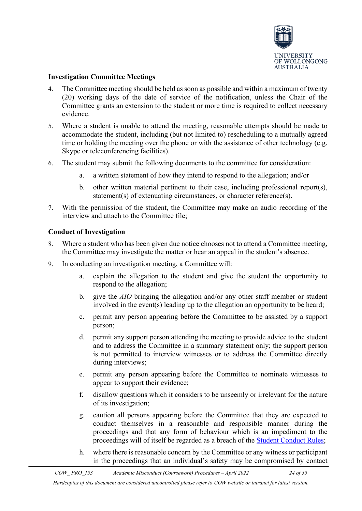

#### <span id="page-23-0"></span>**Investigation Committee Meetings**

- 4. The Committee meeting should be held as soon as possible and within a maximum of twenty (20) working days of the date of service of the notification, unless the Chair of the Committee grants an extension to the student or more time is required to collect necessary evidence.
- 5. Where a student is unable to attend the meeting, reasonable attempts should be made to accommodate the student, including (but not limited to) rescheduling to a mutually agreed time or holding the meeting over the phone or with the assistance of other technology (e.g. Skype or teleconferencing facilities).
- 6. The student may submit the following documents to the committee for consideration:
	- a. a written statement of how they intend to respond to the allegation; and/or
	- b. other written material pertinent to their case, including professional report(s), statement(s) of extenuating circumstances, or character reference(s).
- 7. With the permission of the student, the Committee may make an audio recording of the interview and attach to the Committee file;

#### <span id="page-23-1"></span>**Conduct of Investigation**

- 8. Where a student who has been given due notice chooses not to attend a Committee meeting, the Committee may investigate the matter or hear an appeal in the student's absence.
- 9. In conducting an investigation meeting, a Committee will:
	- a. explain the allegation to the student and give the student the opportunity to respond to the allegation;
	- b. give the *AIO* bringing the allegation and/or any other staff member or student involved in the event(s) leading up to the allegation an opportunity to be heard;
	- c. permit any person appearing before the Committee to be assisted by a support person;
	- d. permit any support person attending the meeting to provide advice to the student and to address the Committee in a summary statement only; the support person is not permitted to interview witnesses or to address the Committee directly during interviews;
	- e. permit any person appearing before the Committee to nominate witnesses to appear to support their evidence;
	- f. disallow questions which it considers to be unseemly or irrelevant for the nature of its investigation;
	- g. caution all persons appearing before the Committee that they are expected to conduct themselves in a reasonable and responsible manner during the proceedings and that any form of behaviour which is an impediment to the proceedings will of itself be regarded as a breach of the [Student Conduct Rules;](http://www.uow.edu.au/about/policy/UOW058723.html)
	- h. where there is reasonable concern by the Committee or any witness or participant in the proceedings that an individual's safety may be compromised by contact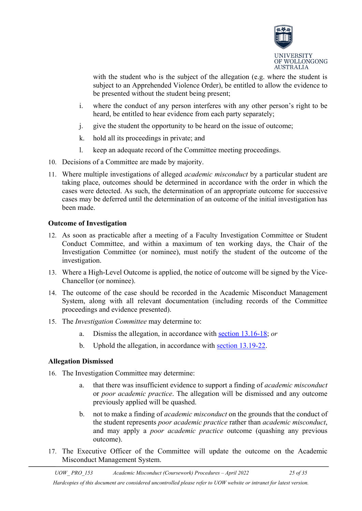

with the student who is the subject of the allegation (e.g. where the student is subject to an Apprehended Violence Order), be entitled to allow the evidence to be presented without the student being present;

- i. where the conduct of any person interferes with any other person's right to be heard, be entitled to hear evidence from each party separately;
- j. give the student the opportunity to be heard on the issue of outcome;
- k. hold all its proceedings in private; and
- l. keep an adequate record of the Committee meeting proceedings.
- 10. Decisions of a Committee are made by majority.
- 11. Where multiple investigations of alleged *academic misconduct* by a particular student are taking place, outcomes should be determined in accordance with the order in which the cases were detected. As such, the determination of an appropriate outcome for successive cases may be deferred until the determination of an outcome of the initial investigation has been made.

#### <span id="page-24-0"></span>**Outcome of Investigation**

- 12. As soon as practicable after a meeting of a Faculty Investigation Committee or Student Conduct Committee, and within a maximum of ten working days, the Chair of the Investigation Committee (or nominee), must notify the student of the outcome of the investigation.
- 13. Where a High-Level Outcome is applied, the notice of outcome will be signed by the Vice-Chancellor (or nominee).
- 14. The outcome of the case should be recorded in the Academic Misconduct Management System, along with all relevant documentation (including records of the Committee proceedings and evidence presented).
- 15. The *Investigation Committee* may determine to:
	- a. Dismiss the allegation, in accordance with [section 13.16-18;](#page-24-1) *or*
	- b. Uphold the allegation, in accordance with [section 13.19-22.](#page-25-0)

#### <span id="page-24-1"></span>**Allegation Dismissed**

- 16. The Investigation Committee may determine:
	- a. that there was insufficient evidence to support a finding of *academic misconduct* or *poor academic practice*. The allegation will be dismissed and any outcome previously applied will be quashed.
	- b. not to make a finding of *academic misconduct* on the grounds that the conduct of the student represents *poor academic practice* rather than *academic misconduct*, and may apply a *poor academic practice* outcome (quashing any previous outcome).
- 17. The Executive Officer of the Committee will update the outcome on the Academic Misconduct Management System.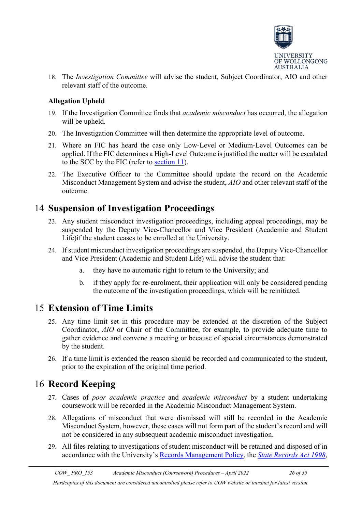

18. The *Investigation Committee* will advise the student, Subject Coordinator, AIO and other relevant staff of the outcome.

#### <span id="page-25-0"></span>**Allegation Upheld**

- 19. If the Investigation Committee finds that *academic misconduct* has occurred, the allegation will be upheld.
- 20. The Investigation Committee will then determine the appropriate level of outcome.
- 21. Where an FIC has heard the case only Low-Level or Medium-Level Outcomes can be applied. If the FIC determines a High-Level Outcome is justified the matter will be escalated to the SCC by the FIC (refer to [section 11\)](#page-18-0).
- 22. The Executive Officer to the Committee should update the record on the Academic Misconduct Management System and advise the student, *AIO* and other relevant staff of the outcome.

### <span id="page-25-1"></span>14 **Suspension of Investigation Proceedings**

- 23. Any student misconduct investigation proceedings, including appeal proceedings, may be suspended by the Deputy Vice-Chancellor and Vice President (Academic and Student Life)if the student ceases to be enrolled at the University.
- 24. If student misconduct investigation proceedings are suspended, the Deputy Vice-Chancellor and Vice President (Academic and Student Life) will advise the student that:
	- a. they have no automatic right to return to the University; and
	- b. if they apply for re-enrolment, their application will only be considered pending the outcome of the investigation proceedings, which will be reinitiated.

## <span id="page-25-2"></span>15 **Extension of Time Limits**

- 25. Any time limit set in this procedure may be extended at the discretion of the Subject Coordinator, *AIO* or Chair of the Committee, for example, to provide adequate time to gather evidence and convene a meeting or because of special circumstances demonstrated by the student.
- 26. If a time limit is extended the reason should be recorded and communicated to the student, prior to the expiration of the original time period.

## <span id="page-25-3"></span>16 **Record Keeping**

- 27. Cases of *poor academic practice* and *academic misconduct* by a student undertaking coursework will be recorded in the Academic Misconduct Management System.
- 28. Allegations of misconduct that were dismissed will still be recorded in the Academic Misconduct System, however, these cases will not form part of the student's record and will not be considered in any subsequent academic misconduct investigation.
- 29. All files relating to investigations of student misconduct will be retained and disposed of in accordance with the University's [Records Management Policy,](file://ad.uow.edu.au/Shares/Governance%20Confidential/Policies%20&%20Procedures%20&%20Guidelines/epurdy/AppData/Local/Microsoft/Windows/Temporary%20Internet%20Files/Content.Outlook/H3685O2T/ssLINK/UOW039584) the *[State Records Act 1998](http://www.austlii.edu.au/au/legis/nsw/consol_act/sra1998156/)*,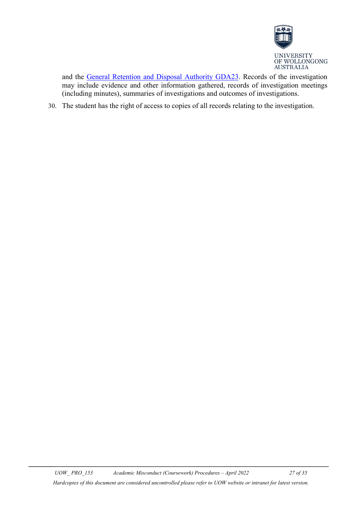

and the [General Retention and Disposal Authority GDA23.](http://www.records.nsw.gov.au/recordkeeping/rules/retention-and-disposal-authorities/general-retention-and-disposal-authorities/files/gda23-university-records) Records of the investigation may include evidence and other information gathered, records of investigation meetings (including minutes), summaries of investigations and outcomes of investigations.

30. The student has the right of access to copies of all records relating to the investigation.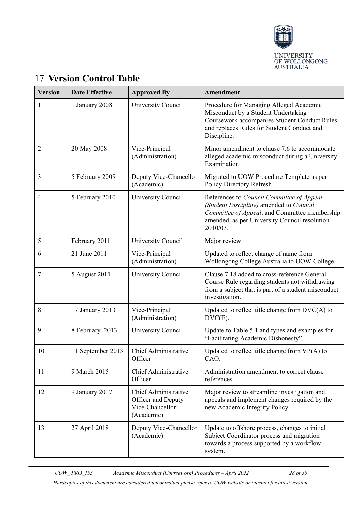

| <b>Version</b> | <b>Date Effective</b> | <b>Approved By</b>                                                                 | Amendment                                                                                                                                                                                          |
|----------------|-----------------------|------------------------------------------------------------------------------------|----------------------------------------------------------------------------------------------------------------------------------------------------------------------------------------------------|
| 1              | 1 January 2008        | University Council                                                                 | Procedure for Managing Alleged Academic<br>Misconduct by a Student Undertaking<br><b>Coursework accompanies Student Conduct Rules</b><br>and replaces Rules for Student Conduct and<br>Discipline. |
| 2              | 20 May 2008           | Vice-Principal<br>(Administration)                                                 | Minor amendment to clause 7.6 to accommodate<br>alleged academic misconduct during a University<br>Examination.                                                                                    |
| 3              | 5 February 2009       | Deputy Vice-Chancellor<br>(Academic)                                               | Migrated to UOW Procedure Template as per<br>Policy Directory Refresh                                                                                                                              |
| 4              | 5 February 2010       | University Council                                                                 | References to Council Committee of Appeal<br>(Student Discipline) amended to Council<br>Committee of Appeal, and Committee membership<br>amended, as per University Council resolution<br>2010/03. |
| 5              | February 2011         | University Council                                                                 | Major review                                                                                                                                                                                       |
| 6              | 21 June 2011          | Vice-Principal<br>(Administration)                                                 | Updated to reflect change of name from<br>Wollongong College Australia to UOW College.                                                                                                             |
| 7              | 5 August 2011         | University Council                                                                 | Clause 7.18 added to cross-reference General<br>Course Rule regarding students not withdrawing<br>from a subject that is part of a student misconduct<br>investigation.                            |
| 8              | 17 January 2013       | Vice-Principal<br>(Administration)                                                 | Updated to reflect title change from $DVC(A)$ to<br>$DVC(E)$ .                                                                                                                                     |
| 9              | 8 February 2013       | University Council                                                                 | Update to Table 5.1 and types and examples for<br>"Facilitating Academic Dishonesty".                                                                                                              |
| 10             | 11 September 2013     | Chief Administrative<br>Officer                                                    | Updated to reflect title change from $VP(A)$ to<br>CAO.                                                                                                                                            |
| 11             | 9 March 2015          | <b>Chief Administrative</b><br>Officer                                             | Administration amendment to correct clause<br>references.                                                                                                                                          |
| 12             | 9 January 2017        | <b>Chief Administrative</b><br>Officer and Deputy<br>Vice-Chancellor<br>(Academic) | Major review to streamline investigation and<br>appeals and implement changes required by the<br>new Academic Integrity Policy                                                                     |
| 13             | 27 April 2018         | Deputy Vice-Chancellor<br>(Academic)                                               | Update to offshore process, changes to initial<br>Subject Coordinator process and migration<br>towards a process supported by a workflow<br>system.                                                |

## <span id="page-27-0"></span>17 **Version Control Table**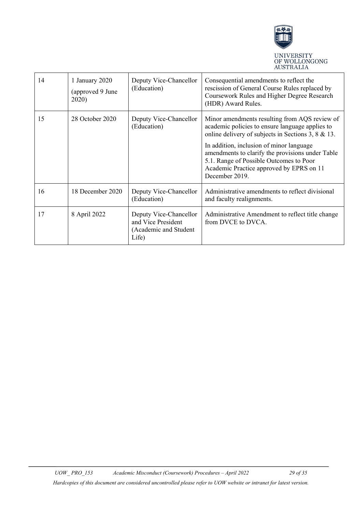

| 14 | 1 January 2020<br>(approved 9 June<br>2020) | Deputy Vice-Chancellor<br>(Education)                                          | Consequential amendments to reflect the<br>rescission of General Course Rules replaced by<br>Coursework Rules and Higher Degree Research<br>(HDR) Award Rules.                                        |
|----|---------------------------------------------|--------------------------------------------------------------------------------|-------------------------------------------------------------------------------------------------------------------------------------------------------------------------------------------------------|
| 15 | 28 October 2020                             | Deputy Vice-Chancellor<br>(Education)                                          | Minor amendments resulting from AQS review of<br>academic policies to ensure language applies to<br>online delivery of subjects in Sections 3, $8 \& 13$ .                                            |
|    |                                             |                                                                                | In addition, inclusion of minor language<br>amendments to clarify the provisions under Table<br>5.1. Range of Possible Outcomes to Poor<br>Academic Practice approved by EPRS on 11<br>December 2019. |
| 16 | 18 December 2020                            | Deputy Vice-Chancellor<br>(Education)                                          | Administrative amendments to reflect divisional<br>and faculty realignments.                                                                                                                          |
| 17 | 8 April 2022                                | Deputy Vice-Chancellor<br>and Vice President<br>(Academic and Student<br>Life) | Administrative Amendment to reflect title change<br>from DVCE to DVCA.                                                                                                                                |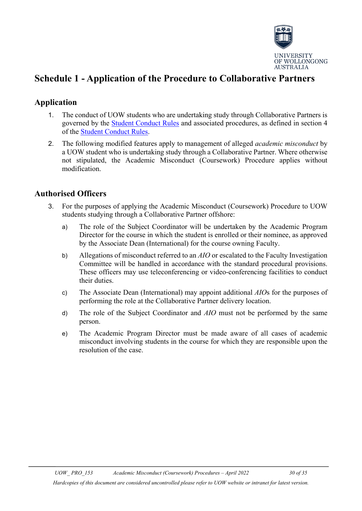

## <span id="page-29-0"></span>**Schedule 1 - Application of the Procedure to Collaborative Partners**

### **Application**

- 1. The conduct of UOW students who are undertaking study through Collaborative Partners is governed by the [Student Conduct Rules](http://www.uow.edu.au/about/policy/UOW058723.html) and associated procedures, as defined in section 4 of the [Student Conduct Rules.](http://www.uow.edu.au/about/policy/UOW058723.html)
- 2. The following modified features apply to management of alleged *academic misconduct* by a UOW student who is undertaking study through a Collaborative Partner. Where otherwise not stipulated, the Academic Misconduct (Coursework) Procedure applies without modification.

#### **Authorised Officers**

- 3. For the purposes of applying the Academic Misconduct (Coursework) Procedure to UOW students studying through a Collaborative Partner offshore:
	- a) The role of the Subject Coordinator will be undertaken by the Academic Program Director for the course in which the student is enrolled or their nominee, as approved by the Associate Dean (International) for the course owning Faculty.
	- b) Allegations of misconduct referred to an *AIO* or escalated to the Faculty Investigation Committee will be handled in accordance with the standard procedural provisions. These officers may use teleconferencing or video-conferencing facilities to conduct their duties.
	- c) The Associate Dean (International) may appoint additional *AIO*s for the purposes of performing the role at the Collaborative Partner delivery location.
	- d) The role of the Subject Coordinator and *AIO* must not be performed by the same person.
	- e) The Academic Program Director must be made aware of all cases of academic misconduct involving students in the course for which they are responsible upon the resolution of the case.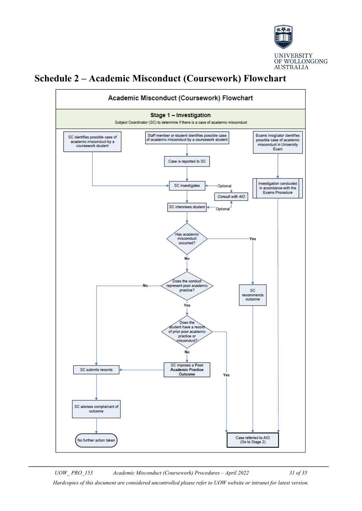

## <span id="page-30-0"></span>**Schedule 2 – Academic Misconduct (Coursework) Flowchart**

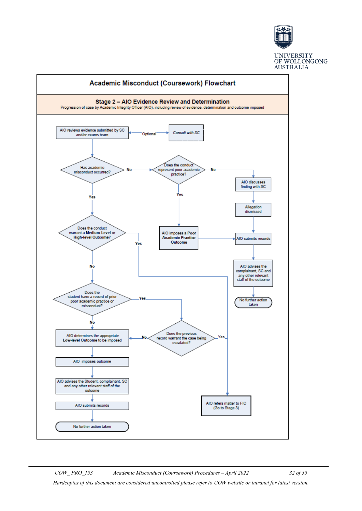

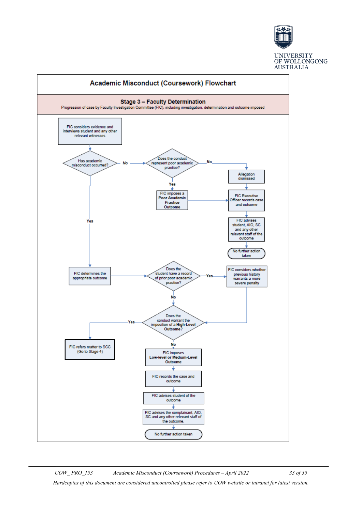

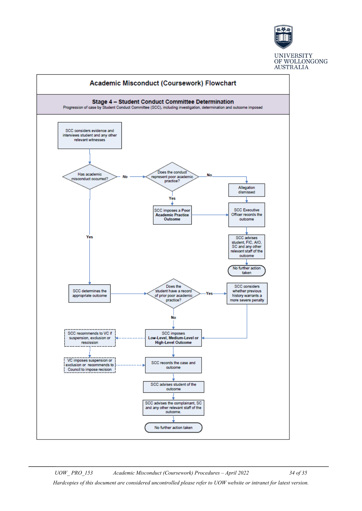